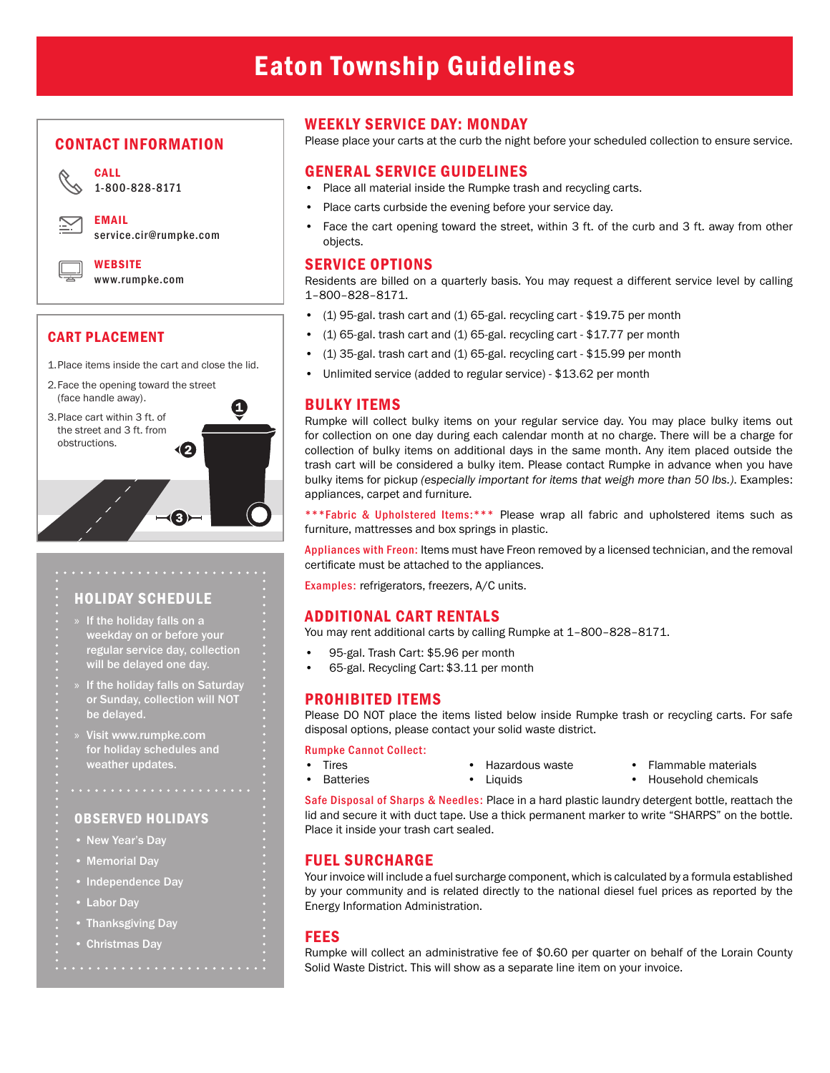#### CONTACT INFORMATION



CALL

EMAIL service.cir@rumpke.com

**WERSITE** [www.rumpke.com](https://www.rumpke.com/)

# CART PLACEMENT

1.Place items inside the cart and close the lid.

12

 $\neg$ 

U

- 2.Face the opening toward the street (face handle away).
- 3.Place cart within 3 ft. of the street and 3 ft. from obstructions.

HOLIDAY SCHEDULE

- » If the holiday falls on a weekday on or before your regular service day, collection will be delayed one day.
- If the holiday falls on Saturday or Sunday, collection will NOT be delayed.
- » Visit www.rumpke.com for holiday schedules and weather updates.

# OBSERVED HOLIDAYS

• New Year's Day

. . . . . . . . . . . . .

- Memorial Day
- Independence Day
- Labor Day
- Thanksgiving Day
- Christmas Day

## WEEKLY SERVICE DAY: MONDAY

Please place your carts at the curb the night before your scheduled collection to ensure service.

### GENERAL SERVICE GUIDELINES

- Place all material inside the Rumpke trash and recycling carts.
- Place carts curbside the evening before your service day.
- Face the cart opening toward the street, within 3 ft. of the curb and 3 ft. away from other objects.

#### SERVICE OPTIONS

Residents are billed on a quarterly basis. You may request a different service level by calling 1–800–828–8171.

- (1) 95-gal. trash cart and (1) 65-gal. recycling cart \$19.75 per month
- (1) 65-gal. trash cart and (1) 65-gal. recycling cart \$17.77 per month
- (1) 35-gal. trash cart and (1) 65-gal. recycling cart \$15.99 per month
- Unlimited service (added to regular service) \$13.62 per month

# BULKY ITEMS

Rumpke will collect bulky items on your regular service day. You may place bulky items out for collection on one day during each calendar month at no charge. There will be a charge for collection of bulky items on additional days in the same month. Any item placed outside the trash cart will be considered a bulky item. Please contact Rumpke in advance when you have bulky items for pickup *(especially important for items that weigh more than 50 lbs.)*. Examples: appliances, carpet and furniture.

\*\*\*Fabric & Upholstered Items:\*\*\* Please wrap all fabric and upholstered items such as furniture, mattresses and box springs in plastic.

Appliances with Freon: Items must have Freon removed by a licensed technician, and the removal certificate must be attached to the appliances.

Examples: refrigerators, freezers, A/C units.

#### ADDITIONAL CART RENTALS

You may rent additional carts by calling Rumpke at 1–800–828–8171.

- 95-gal. Trash Cart: \$5.96 per month
- 65-gal. Recycling Cart: \$3.11 per month

# PROHIBITED ITEMS

Please DO NOT place the items listed below inside Rumpke trash or recycling carts. For safe disposal options, please contact your solid waste district.

#### Rumpke Cannot Collect:

- Tires • Batteries
- Hazardous waste

• Liquids

- Flammable materials
- Household chemicals

Safe Disposal of Sharps & Needles: Place in a hard plastic laundry detergent bottle, reattach the lid and secure it with duct tape. Use a thick permanent marker to write "SHARPS" on the bottle. Place it inside your trash cart sealed.

#### FUEL SURCHARGE

Your invoice will include a fuel surcharge component, which is calculated by a formula established by your community and is related directly to the national diesel fuel prices as reported by the Energy Information Administration.

#### FEES

Rumpke will collect an administrative fee of \$0.60 per quarter on behalf of the Lorain County Solid Waste District. This will show as a separate line item on your invoice.